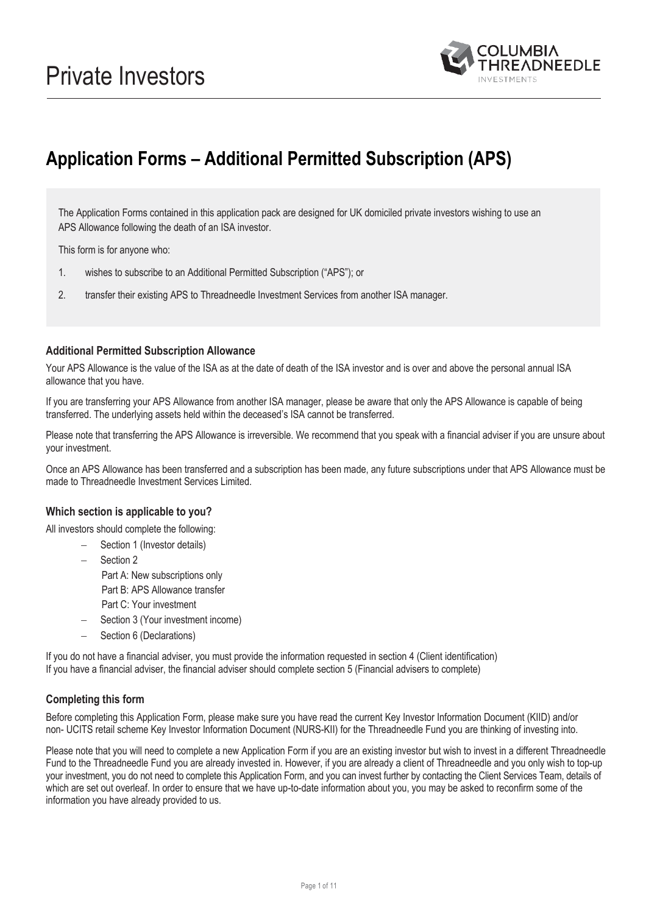

# **Application Forms – Additional Permitted Subscription (APS)**

The Application Forms contained in this application pack are designed for UK domiciled private investors wishing to use an APS Allowance following the death of an ISA investor.

This form is for anyone who:

- 1. wishes to subscribe to an Additional Permitted Subscription ("APS"); or
- 2. transfer their existing APS to Threadneedle Investment Services from another ISA manager.

### **Additional Permitted Subscription Allowance**

Your APS Allowance is the value of the ISA as at the date of death of the ISA investor and is over and above the personal annual ISA allowance that you have.

If you are transferring your APS Allowance from another ISA manager, please be aware that only the APS Allowance is capable of being transferred. The underlying assets held within the deceased's ISA cannot be transferred.

Please note that transferring the APS Allowance is irreversible. We recommend that you speak with a financial adviser if you are unsure about your investment.

Once an APS Allowance has been transferred and a subscription has been made, any future subscriptions under that APS Allowance must be made to Threadneedle Investment Services Limited.

### **Which section is applicable to you?**

All investors should complete the following:

- Section 1 (Investor details)
	- Section 2 Part A: New subscriptions only Part B: APS Allowance transfer Part C: Your investment
	- Section 3 (Your investment income)
	- Section 6 (Declarations)

If you do not have a financial adviser, you must provide the information requested in section 4 (Client identification) If you have a financial adviser, the financial adviser should complete section 5 (Financial advisers to complete)

### **Completing this form**

Before completing this Application Form, please make sure you have read the current Key Investor Information Document (KIID) and/or non- UCITS retail scheme Key Investor Information Document (NURS-KII) for the Threadneedle Fund you are thinking of investing into.

Please note that you will need to complete a new Application Form if you are an existing investor but wish to invest in a different Threadneedle Fund to the Threadneedle Fund you are already invested in. However, if you are already a client of Threadneedle and you only wish to top-up your investment, you do not need to complete this Application Form, and you can invest further by contacting the Client Services Team, details of which are set out overleaf. In order to ensure that we have up-to-date information about you, you may be asked to reconfirm some of the information you have already provided to us.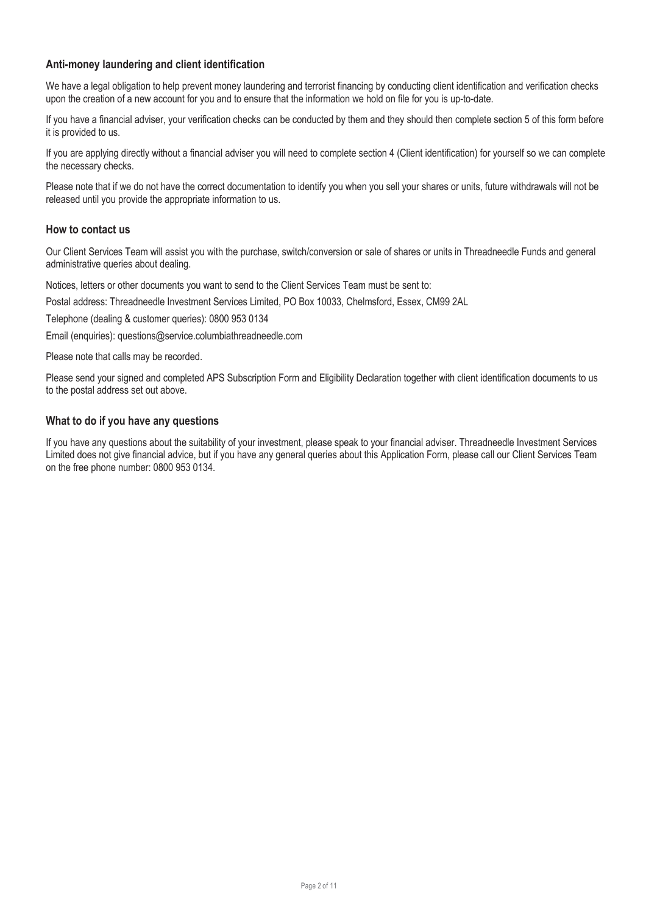# **Anti-money laundering and client identification**

We have a legal obligation to help prevent money laundering and terrorist financing by conducting client identification and verification checks upon the creation of a new account for you and to ensure that the information we hold on file for you is up-to-date.

If you have a financial adviser, your verification checks can be conducted by them and they should then complete section 5 of this form before it is provided to us.

If you are applying directly without a financial adviser you will need to complete section 4 (Client identification) for yourself so we can complete the necessary checks.

Please note that if we do not have the correct documentation to identify you when you sell your shares or units, future withdrawals will not be released until you provide the appropriate information to us.

#### **How to contact us**

Our Client Services Team will assist you with the purchase, switch/conversion or sale of shares or units in Threadneedle Funds and general administrative queries about dealing.

Notices, letters or other documents you want to send to the Client Services Team must be sent to:

Postal address: Threadneedle Investment Services Limited, PO Box 10033, Chelmsford, Essex, CM99 2AL

Telephone (dealing & customer queries): 0800 953 0134

Email (enquiries): questions@service.columbiathreadneedle.com

Please note that calls may be recorded.

Please send your signed and completed APS Subscription Form and Eligibility Declaration together with client identification documents to us to the postal address set out above.

### **What to do if you have any questions**

If you have any questions about the suitability of your investment, please speak to your financial adviser. Threadneedle Investment Services Limited does not give financial advice, but if you have any general queries about this Application Form, please call our Client Services Team on the free phone number: 0800 953 0134.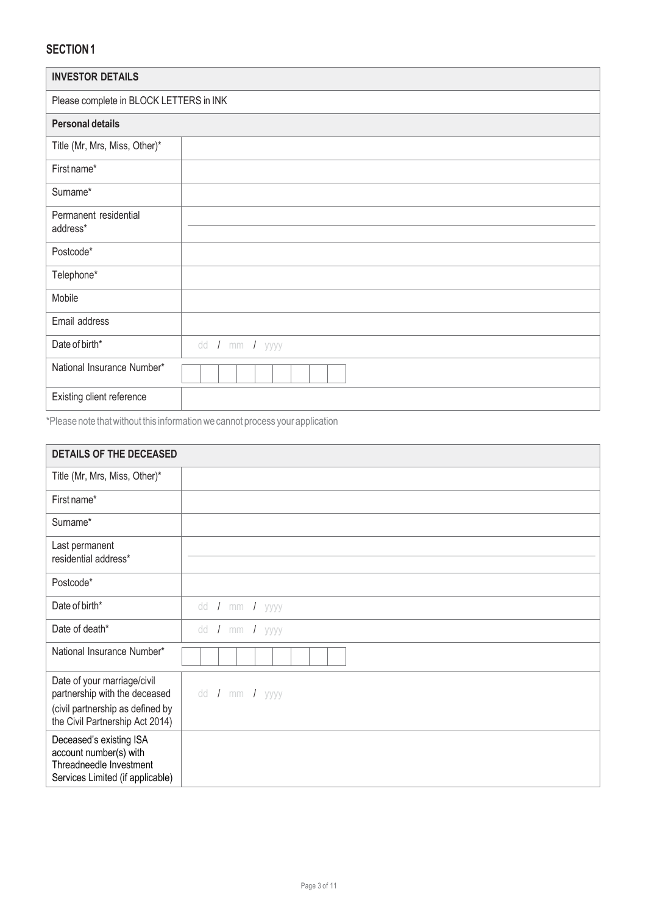| <b>INVESTOR DETAILS</b>                 |                |  |  |
|-----------------------------------------|----------------|--|--|
| Please complete in BLOCK LETTERS in INK |                |  |  |
| <b>Personal details</b>                 |                |  |  |
| Title (Mr, Mrs, Miss, Other)*           |                |  |  |
| First name*                             |                |  |  |
| Surname*                                |                |  |  |
| Permanent residential<br>address*       |                |  |  |
| Postcode*                               |                |  |  |
| Telephone*                              |                |  |  |
| Mobile                                  |                |  |  |
| Email address                           |                |  |  |
| Date of birth*                          | dd / mm / yyyy |  |  |
| National Insurance Number*              |                |  |  |
| Existing client reference               |                |  |  |

\*Please note thatwithout this informationwe cannot process your application

| <b>DETAILS OF THE DECEASED</b>                                                                                                      |                |
|-------------------------------------------------------------------------------------------------------------------------------------|----------------|
| Title (Mr, Mrs, Miss, Other)*                                                                                                       |                |
| First name*                                                                                                                         |                |
| Surname*                                                                                                                            |                |
| Last permanent<br>residential address*                                                                                              |                |
| Postcode*                                                                                                                           |                |
| Date of birth*                                                                                                                      | dd / mm / yyyy |
| Date of death*                                                                                                                      | dd / mm / yyyy |
| National Insurance Number*                                                                                                          |                |
| Date of your marriage/civil<br>partnership with the deceased<br>(civil partnership as defined by<br>the Civil Partnership Act 2014) | dd / mm / yyyy |
| Deceased's existing ISA<br>account number(s) with<br>Threadneedle Investment<br>Services Limited (if applicable)                    |                |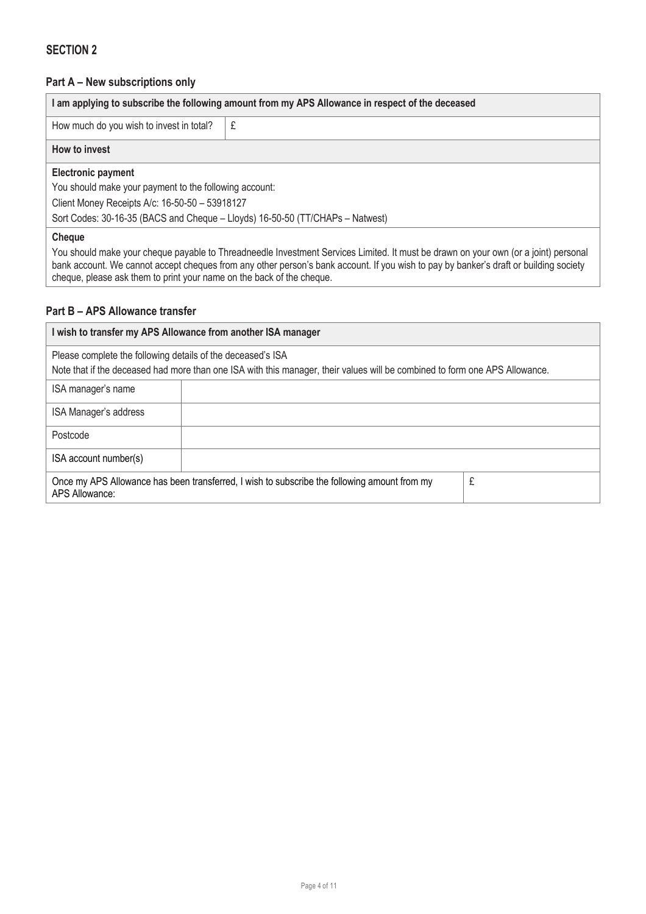# **Part A – New subscriptions only**

| I am applying to subscribe the following amount from my APS Allowance in respect of the deceased                                   |  |  |  |  |
|------------------------------------------------------------------------------------------------------------------------------------|--|--|--|--|
| How much do you wish to invest in total?                                                                                           |  |  |  |  |
| How to invest                                                                                                                      |  |  |  |  |
| <b>Electronic payment</b>                                                                                                          |  |  |  |  |
| You should make your payment to the following account:                                                                             |  |  |  |  |
| Client Money Receipts A/c: 16-50-50 - 53918127                                                                                     |  |  |  |  |
| Sort Codes: 30-16-35 (BACS and Cheque - Lloyds) 16-50-50 (TT/CHAPs - Natwest)                                                      |  |  |  |  |
| <b>Cheque</b>                                                                                                                      |  |  |  |  |
| You should make your cheque payable to Threadneedle Investment Services Limited It must be drawn on your own (or a joint) personal |  |  |  |  |

You should make your cheque payable to Threadneedle Investment Services Limited. It must be drawn on your own (or a joint) personal bank account. We cannot accept cheques from any other person's bank account. If you wish to pay by banker's draft or building society cheque, please ask them to print your name on the back of the cheque.

### **Part B – APS Allowance transfer**

| I wish to transfer my APS Allowance from another ISA manager                                                                                                                               |  |  |
|--------------------------------------------------------------------------------------------------------------------------------------------------------------------------------------------|--|--|
| Please complete the following details of the deceased's ISA<br>Note that if the deceased had more than one ISA with this manager, their values will be combined to form one APS Allowance. |  |  |
| ISA manager's name                                                                                                                                                                         |  |  |
| ISA Manager's address                                                                                                                                                                      |  |  |
| Postcode                                                                                                                                                                                   |  |  |
| ISA account number(s)                                                                                                                                                                      |  |  |
| Once my APS Allowance has been transferred, I wish to subscribe the following amount from my<br>£<br>APS Allowance:                                                                        |  |  |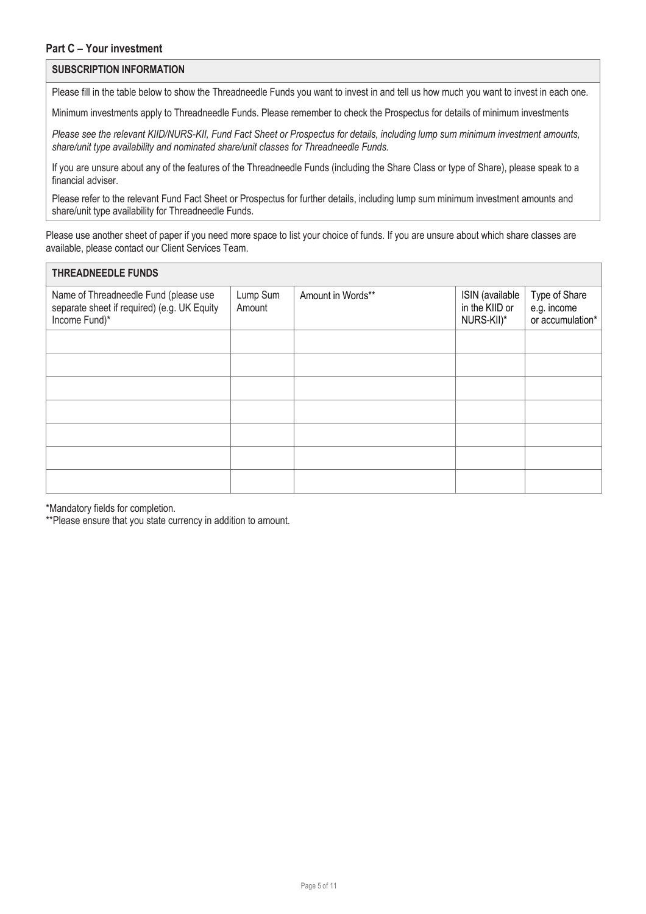#### **SUBSCRIPTION INFORMATION**

Please fill in the table below to show the Threadneedle Funds you want to invest in and tell us how much you want to invest in each one.

Minimum investments apply to Threadneedle Funds. Please remember to check the Prospectus for details of minimum investments

*Please see the relevant KIID/NURS-KII, Fund Fact Sheet or Prospectus for details, including lump sum minimum investment amounts, share/unit type availability and nominated share/unit classes for Threadneedle Funds.*

If you are unsure about any of the features of the Threadneedle Funds (including the Share Class or type of Share), please speak to a financial adviser.

Please refer to the relevant Fund Fact Sheet or Prospectus for further details, including lump sum minimum investment amounts and share/unit type availability for Threadneedle Funds.

Please use another sheet of paper if you need more space to list your choice of funds. If you are unsure about which share classes are available, please contact our Client Services Team.

| <b>THREADNEEDLE FUNDS</b>                                                                             |                    |                   |                                                 |                                                  |
|-------------------------------------------------------------------------------------------------------|--------------------|-------------------|-------------------------------------------------|--------------------------------------------------|
| Name of Threadneedle Fund (please use<br>separate sheet if required) (e.g. UK Equity<br>Income Fund)* | Lump Sum<br>Amount | Amount in Words** | ISIN (available<br>in the KIID or<br>NURS-KII)* | Type of Share<br>e.g. income<br>or accumulation* |
|                                                                                                       |                    |                   |                                                 |                                                  |
|                                                                                                       |                    |                   |                                                 |                                                  |
|                                                                                                       |                    |                   |                                                 |                                                  |
|                                                                                                       |                    |                   |                                                 |                                                  |
|                                                                                                       |                    |                   |                                                 |                                                  |
|                                                                                                       |                    |                   |                                                 |                                                  |
|                                                                                                       |                    |                   |                                                 |                                                  |

\*Mandatory fields for completion.

\*\*Please ensure that you state currency in addition to amount.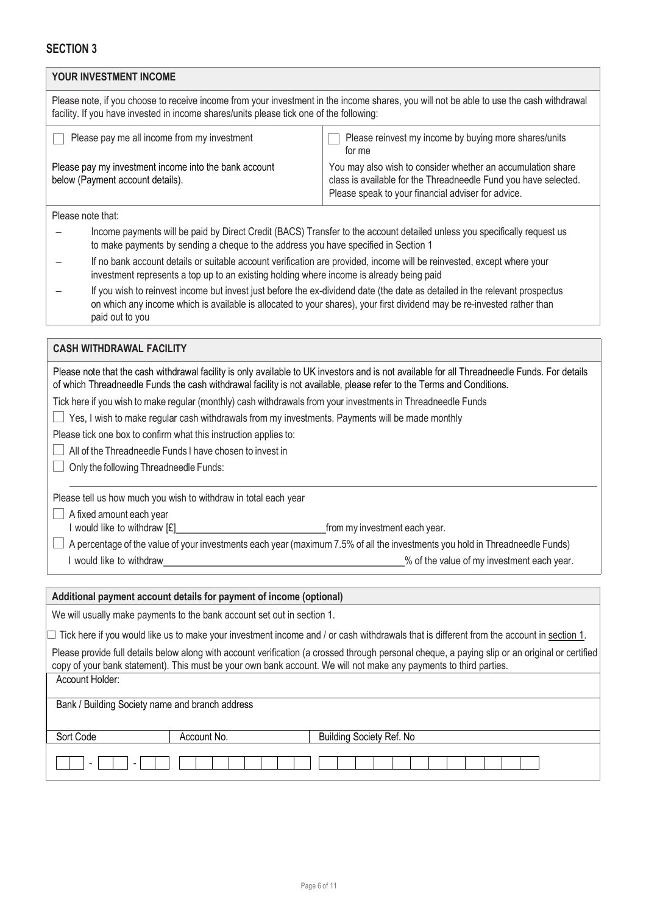| YOUR INVESTMENT INCOME                                                                                                                                                                                                                                                                                                                                                                                                                                                                                                                                                                                                                                                                                                                                                                                       |                                                                                                                                                                                                                                                        |  |  |
|--------------------------------------------------------------------------------------------------------------------------------------------------------------------------------------------------------------------------------------------------------------------------------------------------------------------------------------------------------------------------------------------------------------------------------------------------------------------------------------------------------------------------------------------------------------------------------------------------------------------------------------------------------------------------------------------------------------------------------------------------------------------------------------------------------------|--------------------------------------------------------------------------------------------------------------------------------------------------------------------------------------------------------------------------------------------------------|--|--|
| Please note, if you choose to receive income from your investment in the income shares, you will not be able to use the cash withdrawal<br>facility. If you have invested in income shares/units please tick one of the following:                                                                                                                                                                                                                                                                                                                                                                                                                                                                                                                                                                           |                                                                                                                                                                                                                                                        |  |  |
| Please pay me all income from my investment<br>Please reinvest my income by buying more shares/units<br>for me                                                                                                                                                                                                                                                                                                                                                                                                                                                                                                                                                                                                                                                                                               |                                                                                                                                                                                                                                                        |  |  |
| Please pay my investment income into the bank account<br>You may also wish to consider whether an accumulation share<br>below (Payment account details).<br>class is available for the Threadneedle Fund you have selected.<br>Please speak to your financial adviser for advice.                                                                                                                                                                                                                                                                                                                                                                                                                                                                                                                            |                                                                                                                                                                                                                                                        |  |  |
| Please note that:                                                                                                                                                                                                                                                                                                                                                                                                                                                                                                                                                                                                                                                                                                                                                                                            |                                                                                                                                                                                                                                                        |  |  |
| to make payments by sending a cheque to the address you have specified in Section 1                                                                                                                                                                                                                                                                                                                                                                                                                                                                                                                                                                                                                                                                                                                          | Income payments will be paid by Direct Credit (BACS) Transfer to the account detailed unless you specifically request us                                                                                                                               |  |  |
| If no bank account details or suitable account verification are provided, income will be reinvested, except where your<br>investment represents a top up to an existing holding where income is already being paid                                                                                                                                                                                                                                                                                                                                                                                                                                                                                                                                                                                           |                                                                                                                                                                                                                                                        |  |  |
| paid out to you                                                                                                                                                                                                                                                                                                                                                                                                                                                                                                                                                                                                                                                                                                                                                                                              | If you wish to reinvest income but invest just before the ex-dividend date (the date as detailed in the relevant prospectus<br>on which any income which is available is allocated to your shares), your first dividend may be re-invested rather than |  |  |
| <b>CASH WITHDRAWAL FACILITY</b>                                                                                                                                                                                                                                                                                                                                                                                                                                                                                                                                                                                                                                                                                                                                                                              |                                                                                                                                                                                                                                                        |  |  |
| of which Threadneedle Funds the cash withdrawal facility is not available, please refer to the Terms and Conditions.<br>Tick here if you wish to make regular (monthly) cash withdrawals from your investments in Threadneedle Funds<br>Yes, I wish to make regular cash withdrawals from my investments. Payments will be made monthly<br>Please tick one box to confirm what this instruction applies to:<br>All of the Threadneedle Funds I have chosen to invest in<br>Only the following Threadneedle Funds:<br>Please tell us how much you wish to withdraw in total each year<br>A fixed amount each year<br>I would like to withdraw [£]<br>A percentage of the value of your investments each year (maximum 7.5% of all the investments you hold in Threadneedle Funds)<br>I would like to withdraw | Please note that the cash withdrawal facility is only available to UK investors and is not available for all Threadneedle Funds. For details<br>from my investment each year.<br>% of the value of my investment each year.                            |  |  |
| Additional payment account details for payment of income (optional)                                                                                                                                                                                                                                                                                                                                                                                                                                                                                                                                                                                                                                                                                                                                          |                                                                                                                                                                                                                                                        |  |  |
| We will usually make payments to the bank account set out in section 1.                                                                                                                                                                                                                                                                                                                                                                                                                                                                                                                                                                                                                                                                                                                                      |                                                                                                                                                                                                                                                        |  |  |
| $\Box$ Tick here if you would like us to make your investment income and / or cash withdrawals that is different from the account in section 1.                                                                                                                                                                                                                                                                                                                                                                                                                                                                                                                                                                                                                                                              |                                                                                                                                                                                                                                                        |  |  |
| Please provide full details below along with account verification (a crossed through personal cheque, a paying slip or an original or certified<br>copy of your bank statement). This must be your own bank account. We will not make any payments to third parties.                                                                                                                                                                                                                                                                                                                                                                                                                                                                                                                                         |                                                                                                                                                                                                                                                        |  |  |
| Account Holder:                                                                                                                                                                                                                                                                                                                                                                                                                                                                                                                                                                                                                                                                                                                                                                                              |                                                                                                                                                                                                                                                        |  |  |
| Bank / Building Society name and branch address                                                                                                                                                                                                                                                                                                                                                                                                                                                                                                                                                                                                                                                                                                                                                              |                                                                                                                                                                                                                                                        |  |  |
| Sort Code<br>Account No.<br><b>Building Society Ref. No</b>                                                                                                                                                                                                                                                                                                                                                                                                                                                                                                                                                                                                                                                                                                                                                  |                                                                                                                                                                                                                                                        |  |  |
|                                                                                                                                                                                                                                                                                                                                                                                                                                                                                                                                                                                                                                                                                                                                                                                                              |                                                                                                                                                                                                                                                        |  |  |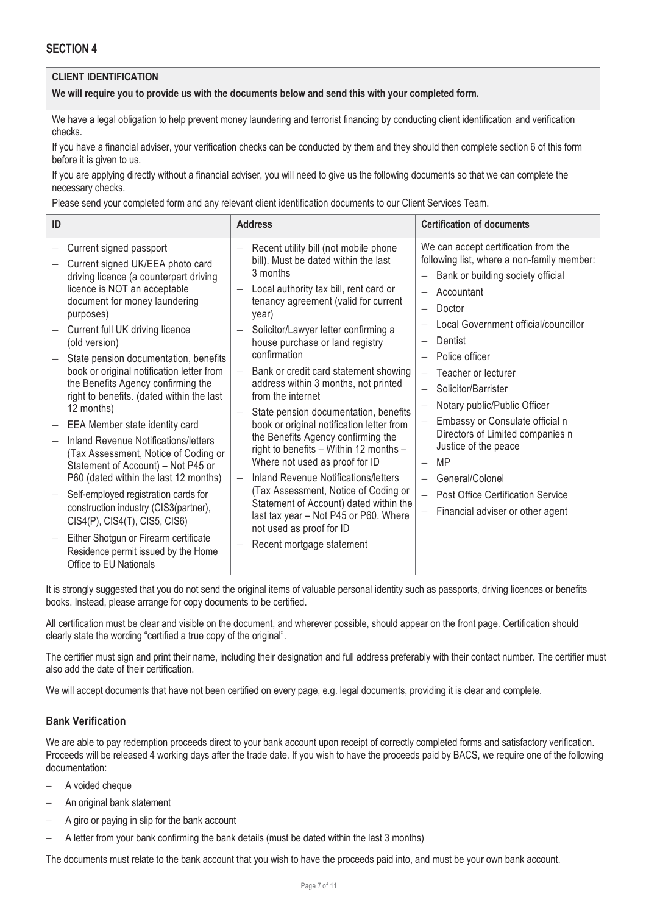# **CLIENT IDENTIFICATION**

**We will require you to provide us with the documents below and send this with your completed form.**

We have a legal obligation to help prevent money laundering and terrorist financing by conducting client identification and verification checks.

If you have a financial adviser, your verification checks can be conducted by them and they should then complete section 6 of this form before it is given to us.

If you are applying directly without a financial adviser, you will need to give us the following documents so that we can complete the necessary checks.

Please send your completed form and any relevant client identification documents to our Client Services Team.

| ID                                       |                                                                                                                                                                                                                                                                                                                                                                                                                                                                                                                                                                                                                                                                                                                                                                                       | <b>Address</b>                                                                                                                                                                                                                                                                                                                                                                                                                                                                                                                                                                                                                                                                                                                                                                                                                                                    | <b>Certification of documents</b>                                                                                                                                                                                                                                                                                                                                                                                                                                                                          |
|------------------------------------------|---------------------------------------------------------------------------------------------------------------------------------------------------------------------------------------------------------------------------------------------------------------------------------------------------------------------------------------------------------------------------------------------------------------------------------------------------------------------------------------------------------------------------------------------------------------------------------------------------------------------------------------------------------------------------------------------------------------------------------------------------------------------------------------|-------------------------------------------------------------------------------------------------------------------------------------------------------------------------------------------------------------------------------------------------------------------------------------------------------------------------------------------------------------------------------------------------------------------------------------------------------------------------------------------------------------------------------------------------------------------------------------------------------------------------------------------------------------------------------------------------------------------------------------------------------------------------------------------------------------------------------------------------------------------|------------------------------------------------------------------------------------------------------------------------------------------------------------------------------------------------------------------------------------------------------------------------------------------------------------------------------------------------------------------------------------------------------------------------------------------------------------------------------------------------------------|
| purposes)<br>(old version)<br>12 months) | Current signed passport<br>Current signed UK/EEA photo card<br>driving licence (a counterpart driving<br>licence is NOT an acceptable<br>document for money laundering<br>Current full UK driving licence<br>State pension documentation, benefits<br>book or original notification letter from<br>the Benefits Agency confirming the<br>right to benefits. (dated within the last<br>EEA Member state identity card<br>Inland Revenue Notifications/letters<br>(Tax Assessment, Notice of Coding or<br>Statement of Account) - Not P45 or<br>P60 (dated within the last 12 months)<br>Self-employed registration cards for<br>construction industry (CIS3(partner),<br>CIS4(P), CIS4(T), CIS5, CIS6)<br>Either Shotgun or Firearm certificate<br>Residence permit issued by the Home | Recent utility bill (not mobile phone<br>bill). Must be dated within the last<br>3 months<br>Local authority tax bill, rent card or<br>tenancy agreement (valid for current<br>year)<br>Solicitor/Lawyer letter confirming a<br>house purchase or land registry<br>confirmation<br>Bank or credit card statement showing<br>$\equiv$<br>address within 3 months, not printed<br>from the internet<br>State pension documentation, benefits<br>book or original notification letter from<br>the Benefits Agency confirming the<br>right to benefits - Within 12 months -<br>Where not used as proof for ID<br>Inland Revenue Notifications/letters<br>$\overline{\phantom{0}}$<br>(Tax Assessment, Notice of Coding or<br>Statement of Account) dated within the<br>last tax year - Not P45 or P60. Where<br>not used as proof for ID<br>Recent mortgage statement | We can accept certification from the<br>following list, where a non-family member:<br>Bank or building society official<br>Accountant<br>Doctor<br>Local Government official/councillor<br>Dentist<br>Police officer<br>Teacher or lecturer<br>Solicitor/Barrister<br>Notary public/Public Officer<br>Embassy or Consulate official n<br>Directors of Limited companies n<br>Justice of the peace<br>MP<br>General/Colonel<br><b>Post Office Certification Service</b><br>Financial adviser or other agent |
| Office to EU Nationals                   |                                                                                                                                                                                                                                                                                                                                                                                                                                                                                                                                                                                                                                                                                                                                                                                       |                                                                                                                                                                                                                                                                                                                                                                                                                                                                                                                                                                                                                                                                                                                                                                                                                                                                   |                                                                                                                                                                                                                                                                                                                                                                                                                                                                                                            |

It is strongly suggested that you do not send the original items of valuable personal identity such as passports, driving licences or benefits books. Instead, please arrange for copy documents to be certified.

All certification must be clear and visible on the document, and wherever possible, should appear on the front page. Certification should clearly state the wording "certified a true copy of the original".

The certifier must sign and print their name, including their designation and full address preferably with their contact number. The certifier must also add the date of their certification.

We will accept documents that have not been certified on every page, e.g. legal documents, providing it is clear and complete.

### **Bank Verification**

We are able to pay redemption proceeds direct to your bank account upon receipt of correctly completed forms and satisfactory verification. Proceeds will be released 4 working days after the trade date. If you wish to have the proceeds paid by BACS, we require one of the following documentation:

- A voided cheque
- An original bank statement
- A giro or paying in slip for the bank account
- A letter from your bank confirming the bank details (must be dated within the last 3 months)

The documents must relate to the bank account that you wish to have the proceeds paid into, and must be your own bank account.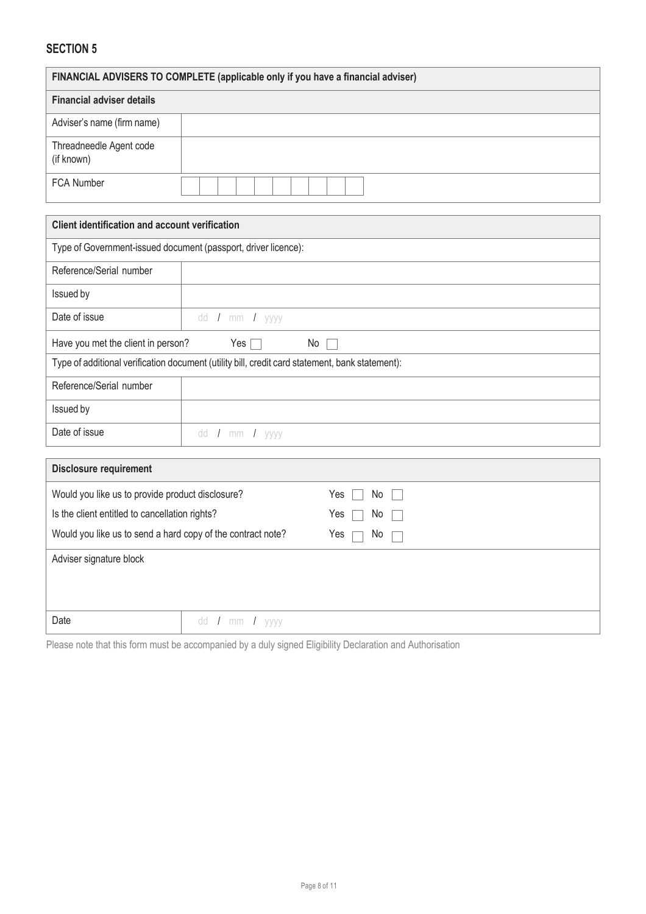| FINANCIAL ADVISERS TO COMPLETE (applicable only if you have a financial adviser) |  |  |
|----------------------------------------------------------------------------------|--|--|
| <b>Financial adviser details</b>                                                 |  |  |
| Adviser's name (firm name)                                                       |  |  |
| Threadneedle Agent code<br>(if known)                                            |  |  |
| <b>FCA Number</b>                                                                |  |  |

| <b>Client identification and account verification</b>                                           |                |  |  |  |
|-------------------------------------------------------------------------------------------------|----------------|--|--|--|
| Type of Government-issued document (passport, driver licence):                                  |                |  |  |  |
| Reference/Serial number                                                                         |                |  |  |  |
| Issued by                                                                                       |                |  |  |  |
| Date of issue                                                                                   | dd / mm / yyyy |  |  |  |
| Have you met the client in person?<br>Yes $\Box$<br>No.                                         |                |  |  |  |
| Type of additional verification document (utility bill, credit card statement, bank statement): |                |  |  |  |
| Reference/Serial number                                                                         |                |  |  |  |
| Issued by                                                                                       |                |  |  |  |
| Date of issue                                                                                   | dd / mm / yyyy |  |  |  |
|                                                                                                 |                |  |  |  |

| <b>Disclosure requirement</b>                               |            |  |  |
|-------------------------------------------------------------|------------|--|--|
| Would you like us to provide product disclosure?            | Yes<br>No  |  |  |
| Is the client entitled to cancellation rights?              | Yes<br>No. |  |  |
| Would you like us to send a hard copy of the contract note? | Yes<br>No  |  |  |
| Adviser signature block                                     |            |  |  |
|                                                             |            |  |  |
|                                                             |            |  |  |
| Date<br>dd / mm / yyyy                                      |            |  |  |

Please note that this form must be accompanied by a duly signed Eligibility Declaration and Authorisation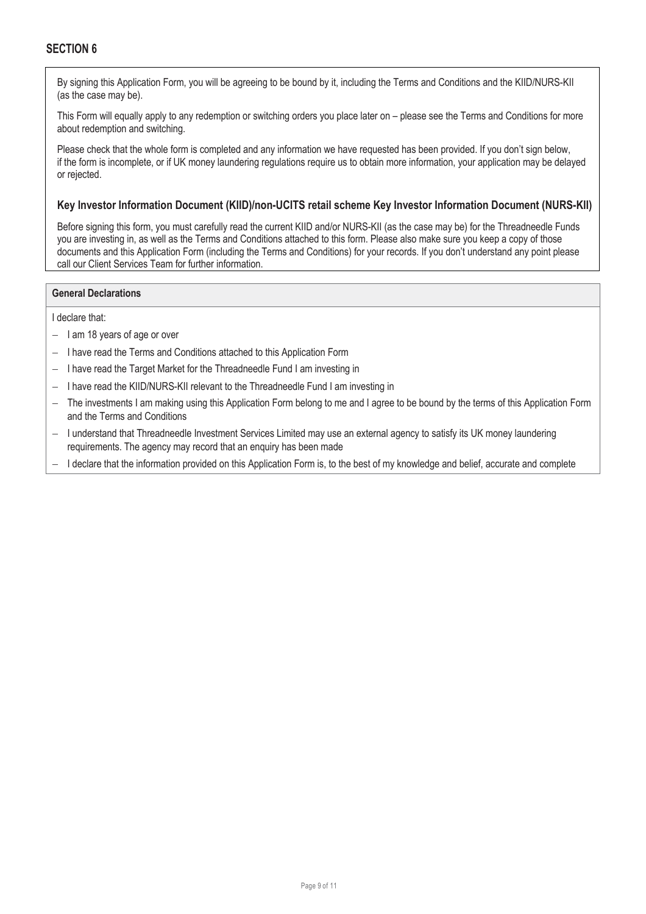By signing this Application Form, you will be agreeing to be bound by it, including the Terms and Conditions and the KIID/NURS-KII (as the case may be).

This Form will equally apply to any redemption or switching orders you place later on – please see the Terms and Conditions for more about redemption and switching.

Please check that the whole form is completed and any information we have requested has been provided. If you don't sign below, if the form is incomplete, or if UK money laundering regulations require us to obtain more information, your application may be delayed or rejected.

### **Key Investor Information Document (KIID)/non-UCITS retail scheme Key Investor Information Document (NURS-KII)**

Before signing this form, you must carefully read the current KIID and/or NURS-KII (as the case may be) for the Threadneedle Funds you are investing in, as well as the Terms and Conditions attached to this form. Please also make sure you keep a copy of those documents and this Application Form (including the Terms and Conditions) for your records. If you don't understand any point please call our Client Services Team for further information.

### **General Declarations**

I declare that:

- I am 18 years of age or over
- I have read the Terms and Conditions attached to this Application Form
- I have read the Target Market for the Threadneedle Fund I am investing in
- I have read the KIID/NURS-KII relevant to the Threadneedle Fund I am investing in
- The investments I am making using this Application Form belong to me and I agree to be bound by the terms of this Application Form and the Terms and Conditions
- I understand that Threadneedle Investment Services Limited may use an external agency to satisfy its UK money laundering requirements. The agency may record that an enquiry has been made
- I declare that the information provided on this Application Form is, to the best of my knowledge and belief, accurate and complete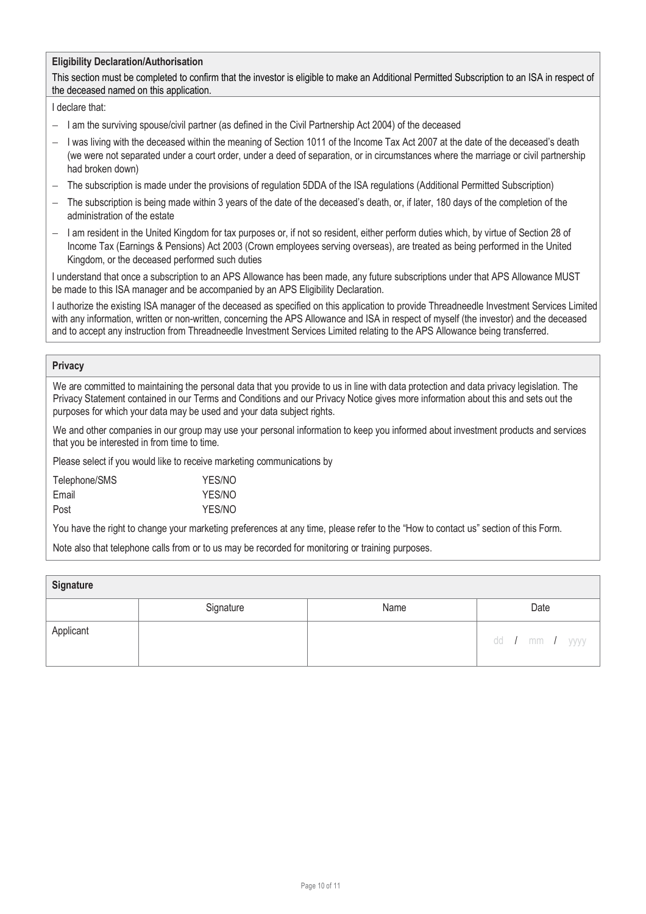### **Eligibility Declaration/Authorisation**

This section must be completed to confirm that the investor is eligible to make an Additional Permitted Subscription to an ISA in respect of the deceased named on this application.

#### I declare that:

- I am the surviving spouse/civil partner (as defined in the Civil Partnership Act 2004) of the deceased
- I was living with the deceased within the meaning of Section 1011 of the Income Tax Act 2007 at the date of the deceased's death (we were not separated under a court order, under a deed of separation, or in circumstances where the marriage or civil partnership had broken down)
- The subscription is made under the provisions of regulation 5DDA of the ISA regulations (Additional Permitted Subscription)
- The subscription is being made within 3 years of the date of the deceased's death, or, if later, 180 days of the completion of the administration of the estate
- I am resident in the United Kingdom for tax purposes or, if not so resident, either perform duties which, by virtue of Section 28 of Income Tax (Earnings & Pensions) Act 2003 (Crown employees serving overseas), are treated as being performed in the United Kingdom, or the deceased performed such duties

I understand that once a subscription to an APS Allowance has been made, any future subscriptions under that APS Allowance MUST be made to this ISA manager and be accompanied by an APS Eligibility Declaration.

I authorize the existing ISA manager of the deceased as specified on this application to provide Threadneedle Investment Services Limited with any information, written or non-written, concerning the APS Allowance and ISA in respect of myself (the investor) and the deceased and to accept any instruction from Threadneedle Investment Services Limited relating to the APS Allowance being transferred.

#### **Privacy**

We are committed to maintaining the personal data that you provide to us in line with data protection and data privacy legislation. The Privacy Statement contained in our Terms and Conditions and our Privacy Notice gives more information about this and sets out the purposes for which your data may be used and your data subject rights.

We and other companies in our group may use your personal information to keep you informed about investment products and services that you be interested in from time to time.

Please select if you would like to receive marketing communications by

| Telephone/SMS | YES/NO |
|---------------|--------|
| Email         | YES/NO |
| Post          | YES/NO |

You have the right to change your marketing preferences at any time, please refer to the "How to contact us" section of this Form.

Note also that telephone calls from or to us may be recorded for monitoring or training purposes.

| Signature |           |      |                  |
|-----------|-----------|------|------------------|
|           | Signature | Name | Date             |
| Applicant |           |      | dd / mm / yyyy l |